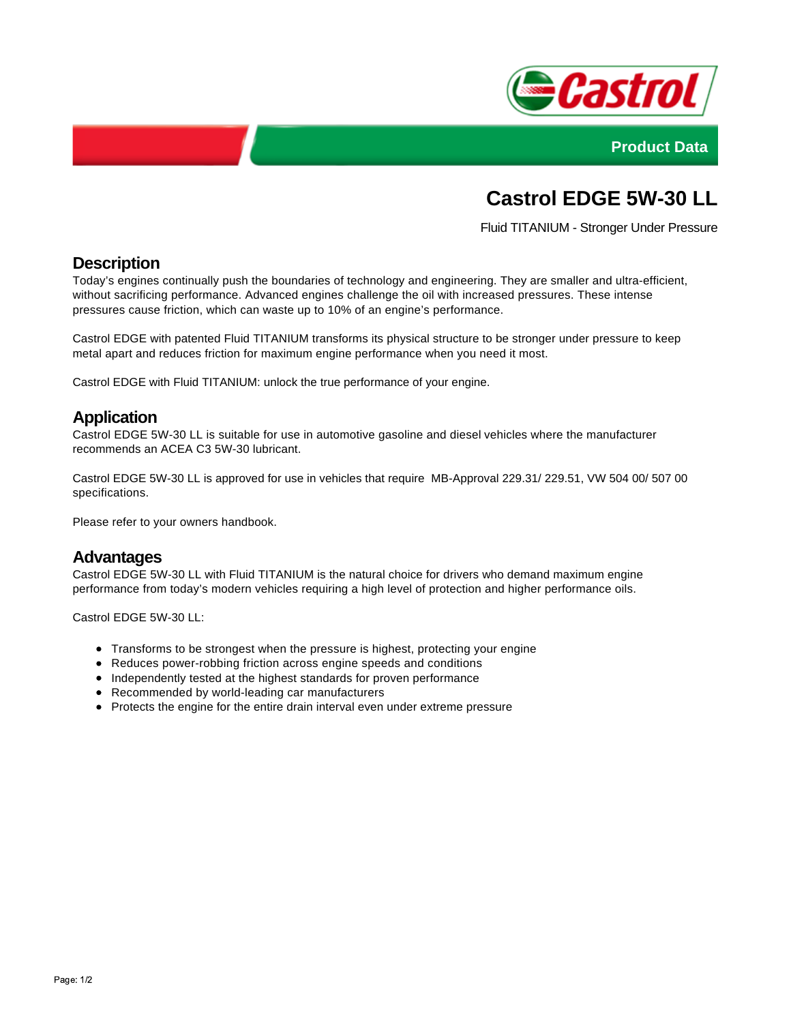



# **Castrol EDGE 5W-30 LL**

Fluid TITANIUM - Stronger Under Pressure

# **Description**

Today's engines continually push the boundaries of technology and engineering. They are smaller and ultra-efficient, without sacrificing performance. Advanced engines challenge the oil with increased pressures. These intense pressures cause friction, which can waste up to 10% of an engine's performance.

Castrol EDGE with patented Fluid TITANIUM transforms its physical structure to be stronger under pressure to keep metal apart and reduces friction for maximum engine performance when you need it most.

Castrol EDGE with Fluid TITANIUM: unlock the true performance of your engine.

## **Application**

Castrol EDGE 5W-30 LL is suitable for use in automotive gasoline and diesel vehicles where the manufacturer recommends an ACEA C3 5W-30 lubricant.

Castrol EDGE 5W-30 LL is approved for use in vehicles that require MB-Approval 229.31/ 229.51, VW 504 00/ 507 00 specifications.

Please refer to your owners handbook.

#### **Advantages**

Castrol EDGE 5W-30 LL with Fluid TITANIUM is the natural choice for drivers who demand maximum engine performance from today's modern vehicles requiring a high level of protection and higher performance oils.

Castrol EDGE 5W-30 LL:

- Transforms to be strongest when the pressure is highest, protecting your engine
- Reduces power-robbing friction across engine speeds and conditions
- Independently tested at the highest standards for proven performance
- Recommended by world-leading car manufacturers
- Protects the engine for the entire drain interval even under extreme pressure